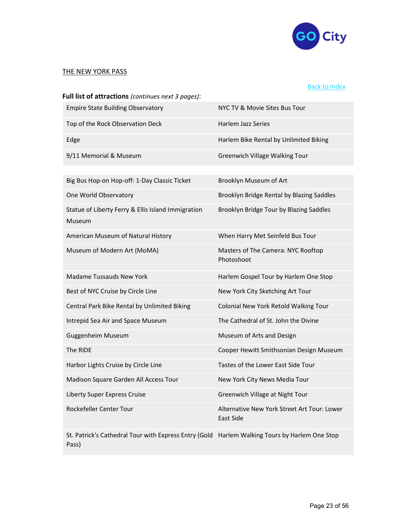

## THE NEW YORK PASS

## Back to Index

| Full list of attractions (continues next 3 pages):           |                                                  |
|--------------------------------------------------------------|--------------------------------------------------|
| <b>Empire State Building Observatory</b>                     | NYC TV & Movie Sites Bus Tour                    |
| Top of the Rock Observation Deck                             | Harlem Jazz Series                               |
| Edge                                                         | Harlem Bike Rental by Unlimited Biking           |
| 9/11 Memorial & Museum                                       | <b>Greenwich Village Walking Tour</b>            |
|                                                              |                                                  |
| Big Bus Hop-on Hop-off: 1-Day Classic Ticket                 | Brooklyn Museum of Art                           |
| One World Observatory                                        | Brooklyn Bridge Rental by Blazing Saddles        |
| Statue of Liberty Ferry & Ellis Island Immigration<br>Museum | Brooklyn Bridge Tour by Blazing Saddles          |
| American Museum of Natural History                           | When Harry Met Seinfeld Bus Tour                 |
| Museum of Modern Art (MoMA)                                  | Masters of The Camera: NYC Rooftop<br>Photoshoot |
| Madame Tussauds New York                                     | Harlem Gospel Tour by Harlem One Stop            |
| Best of NYC Cruise by Circle Line                            | New York City Sketching Art Tour                 |
| Central Park Bike Rental by Unlimited Biking                 | Colonial New York Retold Walking Tour            |
| Intrepid Sea Air and Space Museum                            | The Cathedral of St. John the Divine             |
| Guggenheim Museum                                            | Museum of Arts and Design                        |
|                                                              |                                                  |
| The RIDE                                                     | Cooper Hewitt Smithsonian Design Museum          |
| Harbor Lights Cruise by Circle Line                          | Tastes of the Lower East Side Tour               |
| Madison Square Garden All Access Tour                        | New York City News Media Tour                    |
| Liberty Super Express Cruise                                 | Greenwich Village at Night Tour                  |

St. Patrick's Cathedral Tour with Express Entry (Gold Harlem Walking Tours by Harlem One Stop Pass)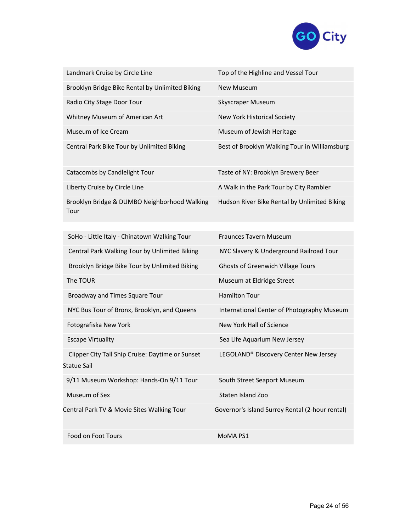

| Landmark Cruise by Circle Line                       | Top of the Highline and Vessel Tour           |
|------------------------------------------------------|-----------------------------------------------|
| Brooklyn Bridge Bike Rental by Unlimited Biking      | New Museum                                    |
| Radio City Stage Door Tour                           | Skyscraper Museum                             |
| Whitney Museum of American Art                       | New York Historical Society                   |
| Museum of Ice Cream                                  | Museum of Jewish Heritage                     |
| Central Park Bike Tour by Unlimited Biking           | Best of Brooklyn Walking Tour in Williamsburg |
| Catacombs by Candlelight Tour                        | Taste of NY: Brooklyn Brewery Beer            |
| Liberty Cruise by Circle Line                        | A Walk in the Park Tour by City Rambler       |
| Brooklyn Bridge & DUMBO Neighborhood Walking<br>Tour | Hudson River Bike Rental by Unlimited Biking  |
|                                                      |                                               |
| SoHo - Little Italy - Chinatown Walking Tour         | <b>Fraunces Tavern Museum</b>                 |
| Central Park Walking Tour by Unlimited Biking        | NYC Slavery & Underground Railroad Tour       |
| Brooklyn Bridge Bike Tour by Unlimited Biking        | <b>Ghosts of Greenwich Village Tours</b>      |

The TOUR Museum at Eldridge Street

Broadway and Times Square Tour **Hamilton Tour** 

NYC Bus Tour of Bronx, Brooklyn, and Queens International Center of Photography Museum

Fotografiska New York New York Hall of Science

Escape Virtuality **Sea Life Aquarium New Jersey** Sea Life Aquarium New Jersey

 Clipper City Tall Ship Cruise: Daytime or Sunset LEGOLAND® Discovery Center New Jersey Statue Sail

9/11 Museum Workshop: Hands-On 9/11 Tour South Street Seaport Museum

Museum of Sex Staten Island Zoo

Central Park TV & Movie Sites Walking Tour Governor's Island Surrey Rental (2-hour rental)

Food on Foot Tours MoMA PS1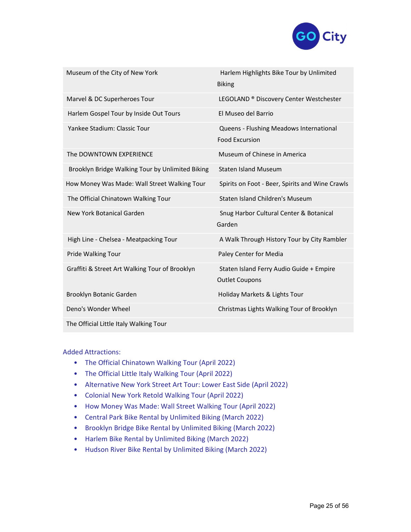

| Museum of the City of New York                   | Harlem Highlights Bike Tour by Unlimited<br><b>Biking</b>         |
|--------------------------------------------------|-------------------------------------------------------------------|
| Marvel & DC Superheroes Tour                     | LEGOLAND <sup>®</sup> Discovery Center Westchester                |
| Harlem Gospel Tour by Inside Out Tours           | El Museo del Barrio                                               |
| Yankee Stadium: Classic Tour                     | Queens - Flushing Meadows International<br><b>Food Excursion</b>  |
| The DOWNTOWN EXPERIENCE                          | Museum of Chinese in America                                      |
| Brooklyn Bridge Walking Tour by Unlimited Biking | <b>Staten Island Museum</b>                                       |
| How Money Was Made: Wall Street Walking Tour     | Spirits on Foot - Beer, Spirits and Wine Crawls                   |
| The Official Chinatown Walking Tour              | Staten Island Children's Museum                                   |
| New York Botanical Garden                        | Snug Harbor Cultural Center & Botanical<br>Garden                 |
| High Line - Chelsea - Meatpacking Tour           | A Walk Through History Tour by City Rambler                       |
| Pride Walking Tour                               | Paley Center for Media                                            |
| Graffiti & Street Art Walking Tour of Brooklyn   | Staten Island Ferry Audio Guide + Empire<br><b>Outlet Coupons</b> |
| Brooklyn Botanic Garden                          | Holiday Markets & Lights Tour                                     |
| Deno's Wonder Wheel                              | Christmas Lights Walking Tour of Brooklyn                         |
| The Official Little Italy Walking Tour           |                                                                   |

## Added Attractions:

- The Official Chinatown Walking Tour (April 2022)
- The Official Little Italy Walking Tour (April 2022)
- Alternative New York Street Art Tour: Lower East Side (April 2022)
- Colonial New York Retold Walking Tour (April 2022)
- How Money Was Made: Wall Street Walking Tour (April 2022)
- Central Park Bike Rental by Unlimited Biking (March 2022)
- Brooklyn Bridge Bike Rental by Unlimited Biking (March 2022)
- Harlem Bike Rental by Unlimited Biking (March 2022)
- Hudson River Bike Rental by Unlimited Biking (March 2022)